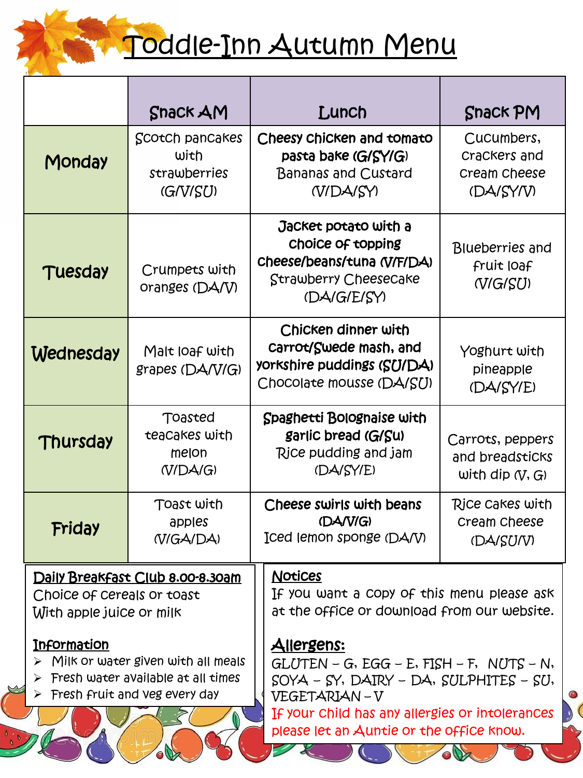

## <u>Toddle-Inn Autumn Menu</u>

|                                                                                            | <b>Snack AM</b>                                                                                            | Lunch                                                                                                                                                                                                                              | <b>Snack PM</b>                                          |
|--------------------------------------------------------------------------------------------|------------------------------------------------------------------------------------------------------------|------------------------------------------------------------------------------------------------------------------------------------------------------------------------------------------------------------------------------------|----------------------------------------------------------|
| Monday                                                                                     | Scotch pancakes<br>with<br>strawberries<br>(GNISU)                                                         | Cheesy chicken and tomato<br>pasta bake (G/SY/G)<br><b>Bananas and Custard</b><br><b>N/DA/SY)</b>                                                                                                                                  | Cucumbers,<br>Crackers and<br>Cream Cheese<br>(DA/SY/V)  |
| Tuesday                                                                                    | Crumpets with<br>oranges (DA/V)                                                                            | Jacket potato with a<br>Choice of topping<br>cheese/beans/tuna (V/F/DA)<br>Strawberry Cheesecake<br>(DA/G/E/SY)                                                                                                                    | <b>Blueberries</b> and<br>fruit loaf<br>(VG/SU)          |
| <b>Wednesday</b>                                                                           | Malt loaf with<br>grapes (DA/V/G)                                                                          | Chicken dinner with<br>carrot/Swede mash, and<br>yorkshire puddings (SU/DA)<br>Chocolate mousse (DA/SU)                                                                                                                            | Yoghurt with<br>pineapple<br>(DA/SY/E)                   |
| Thursday                                                                                   | Toasted<br>teacakes with<br>melon<br>(V/DA/G)                                                              | Spaghetti Bolognaise with<br>garlic bread (G/Su)<br>Rice pudding and jam<br>(DA/SY/E)                                                                                                                                              | Carrots, peppers<br>and breadsticks<br>with dip $(V, G)$ |
| Friday                                                                                     | Toast with<br>apples<br>(VIGA/DA)                                                                          | Cheese swirls with beans<br>(DA/V/G)<br>Iced lemon sponge (DA/V)                                                                                                                                                                   | Rice cakes with<br>Cream Cheese<br>(DA/SU/V)             |
| Daily Breakfast Club 8.00-8.30am<br>Choice of cereals or toast<br>With apple juice or milk |                                                                                                            | <b>Notices</b><br>If you want a Copy of this menu please ask<br>at the office or download from our website.                                                                                                                        |                                                          |
| <b>Information</b><br>$\triangleright$ Fresh fruit and veg every day                       | $\triangleright$ Milk or water given with all meals<br>$\triangleright$ Fresh water available at all times | <u>Allergens:</u><br>$GLUTEN - G$ , $EGG - E$ , $FISH - F$ , $NUTS - N$ ,<br>SOYA - SY, DAIRY - DA, SULPHITES - SU,<br>VEGETARIAN-V<br>If your child has any allergies or intolerances<br>please let an Auntie or the office know. |                                                          |